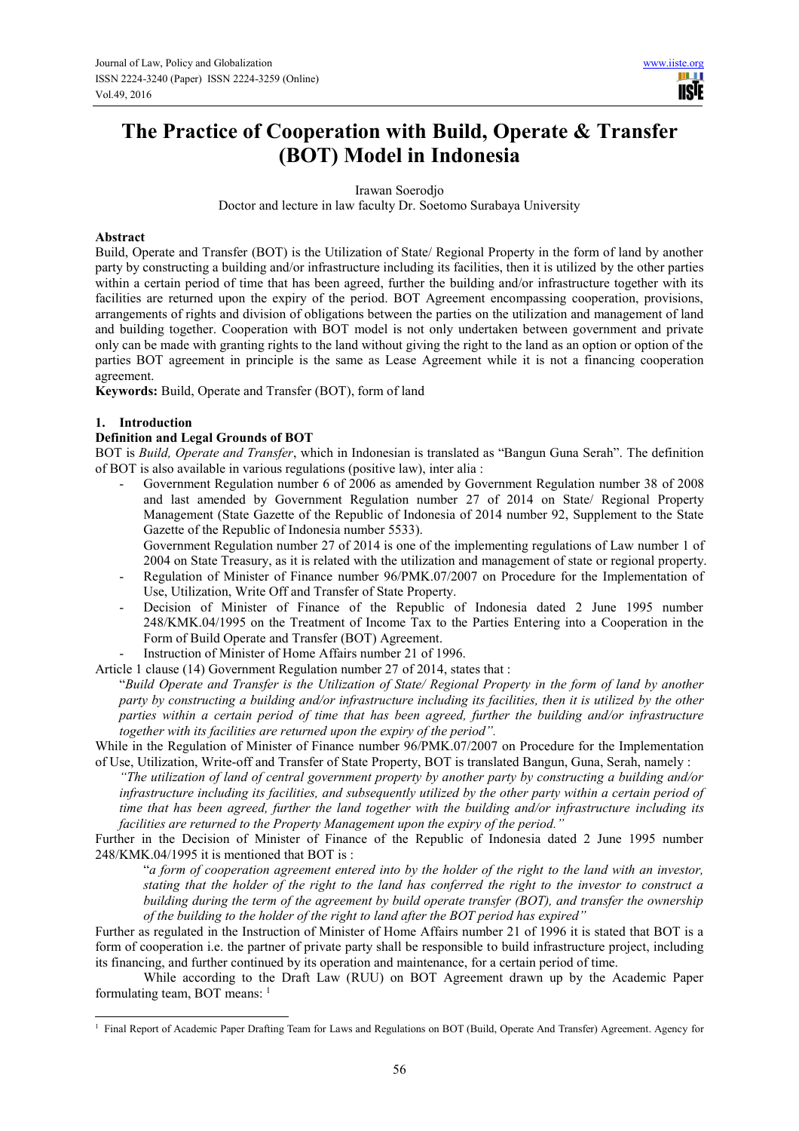m **NSIF** 

# **The Practice of Cooperation with Build, Operate & Transfer (BOT) Model in Indonesia**

Irawan Soerodjo

Doctor and lecture in law faculty Dr. Soetomo Surabaya University

#### **Abstract**

Build, Operate and Transfer (BOT) is the Utilization of State/ Regional Property in the form of land by another party by constructing a building and/or infrastructure including its facilities, then it is utilized by the other parties within a certain period of time that has been agreed, further the building and/or infrastructure together with its facilities are returned upon the expiry of the period. BOT Agreement encompassing cooperation, provisions, arrangements of rights and division of obligations between the parties on the utilization and management of land and building together. Cooperation with BOT model is not only undertaken between government and private only can be made with granting rights to the land without giving the right to the land as an option or option of the parties BOT agreement in principle is the same as Lease Agreement while it is not a financing cooperation agreement.

**Keywords:** Build, Operate and Transfer (BOT), form of land

#### **1. Introduction**

 $\overline{a}$ 

#### **Definition and Legal Grounds of BOT**

BOT is *Build, Operate and Transfer*, which in Indonesian is translated as "Bangun Guna Serah". The definition of BOT is also available in various regulations (positive law), inter alia :

- Government Regulation number 6 of 2006 as amended by Government Regulation number 38 of 2008 and last amended by Government Regulation number 27 of 2014 on State/ Regional Property Management (State Gazette of the Republic of Indonesia of 2014 number 92, Supplement to the State Gazette of the Republic of Indonesia number 5533).

 Government Regulation number 27 of 2014 is one of the implementing regulations of Law number 1 of 2004 on State Treasury, as it is related with the utilization and management of state or regional property.

- Regulation of Minister of Finance number 96/PMK.07/2007 on Procedure for the Implementation of Use, Utilization, Write Off and Transfer of State Property.
- Decision of Minister of Finance of the Republic of Indonesia dated 2 June 1995 number 248/KMK.04/1995 on the Treatment of Income Tax to the Parties Entering into a Cooperation in the Form of Build Operate and Transfer (BOT) Agreement.
- Instruction of Minister of Home Affairs number 21 of 1996.

Article 1 clause (14) Government Regulation number 27 of 2014, states that :

"*Build Operate and Transfer is the Utilization of State/ Regional Property in the form of land by another party by constructing a building and/or infrastructure including its facilities, then it is utilized by the other parties within a certain period of time that has been agreed, further the building and/or infrastructure together with its facilities are returned upon the expiry of the period".* 

While in the Regulation of Minister of Finance number 96/PMK.07/2007 on Procedure for the Implementation of Use, Utilization, Write-off and Transfer of State Property, BOT is translated Bangun, Guna, Serah, namely :

*"The utilization of land of central government property by another party by constructing a building and/or infrastructure including its facilities, and subsequently utilized by the other party within a certain period of time that has been agreed, further the land together with the building and/or infrastructure including its facilities are returned to the Property Management upon the expiry of the period."*

Further in the Decision of Minister of Finance of the Republic of Indonesia dated 2 June 1995 number 248/KMK.04/1995 it is mentioned that BOT is :

"*a form of cooperation agreement entered into by the holder of the right to the land with an investor, stating that the holder of the right to the land has conferred the right to the investor to construct a building during the term of the agreement by build operate transfer (BOT), and transfer the ownership of the building to the holder of the right to land after the BOT period has expired"* 

Further as regulated in the Instruction of Minister of Home Affairs number 21 of 1996 it is stated that BOT is a form of cooperation i.e. the partner of private party shall be responsible to build infrastructure project, including its financing, and further continued by its operation and maintenance, for a certain period of time.

While according to the Draft Law (RUU) on BOT Agreement drawn up by the Academic Paper formulating team, BOT means: <sup>1</sup>

<sup>&</sup>lt;sup>1</sup> Final Report of Academic Paper Drafting Team for Laws and Regulations on BOT (Build, Operate And Transfer) Agreement. Agency for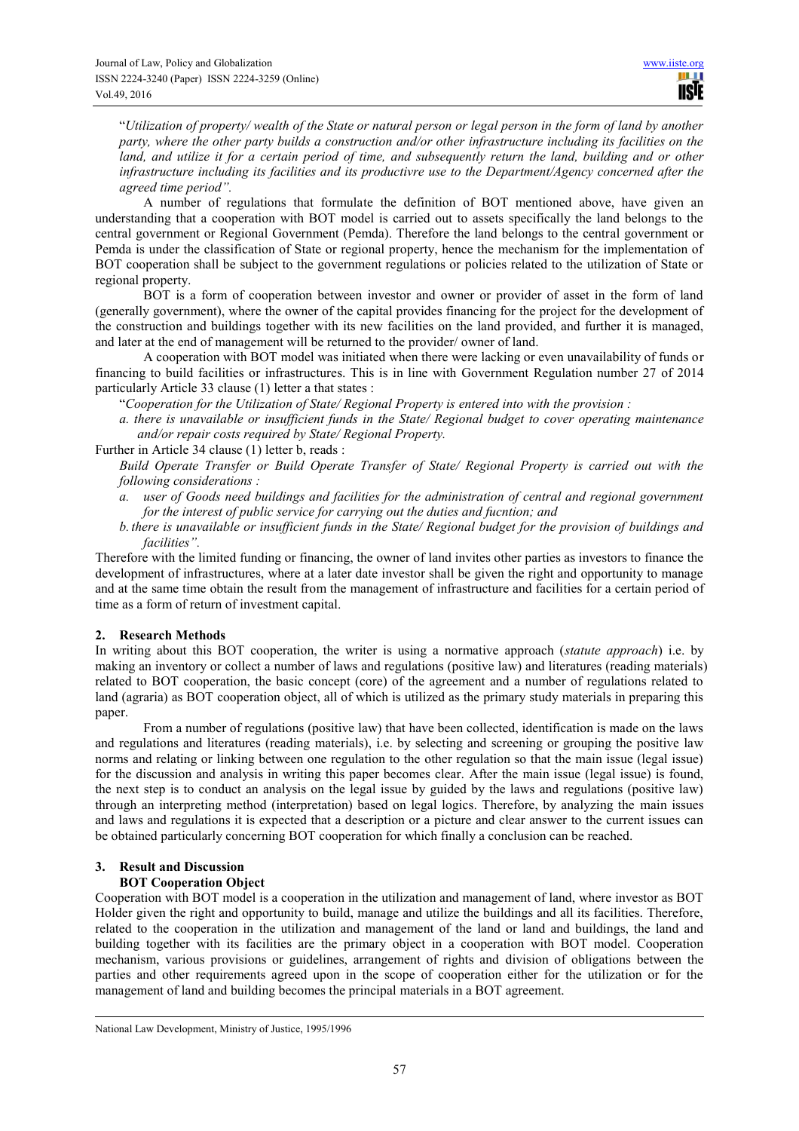"*Utilization of property/ wealth of the State or natural person or legal person in the form of land by another party, where the other party builds a construction and/or other infrastructure including its facilities on the*  land, and utilize it for a certain period of time, and subsequently return the land, building and or other *infrastructure including its facilities and its productivre use to the Department/Agency concerned after the agreed time period".* 

A number of regulations that formulate the definition of BOT mentioned above, have given an understanding that a cooperation with BOT model is carried out to assets specifically the land belongs to the central government or Regional Government (Pemda). Therefore the land belongs to the central government or Pemda is under the classification of State or regional property, hence the mechanism for the implementation of BOT cooperation shall be subject to the government regulations or policies related to the utilization of State or regional property.

BOT is a form of cooperation between investor and owner or provider of asset in the form of land (generally government), where the owner of the capital provides financing for the project for the development of the construction and buildings together with its new facilities on the land provided, and further it is managed, and later at the end of management will be returned to the provider/ owner of land.

A cooperation with BOT model was initiated when there were lacking or even unavailability of funds or financing to build facilities or infrastructures. This is in line with Government Regulation number 27 of 2014 particularly Article 33 clause (1) letter a that states :

"*Cooperation for the Utilization of State/ Regional Property is entered into with the provision :* 

*a. there is unavailable or insufficient funds in the State/ Regional budget to cover operating maintenance and/or repair costs required by State/ Regional Property.* 

Further in Article 34 clause (1) letter b, reads :

*Build Operate Transfer or Build Operate Transfer of State/ Regional Property is carried out with the following considerations :* 

- *a. user of Goods need buildings and facilities for the administration of central and regional government for the interest of public service for carrying out the duties and fucntion; and*
- *b. there is unavailable or insufficient funds in the State/ Regional budget for the provision of buildings and facilities".*

Therefore with the limited funding or financing, the owner of land invites other parties as investors to finance the development of infrastructures, where at a later date investor shall be given the right and opportunity to manage and at the same time obtain the result from the management of infrastructure and facilities for a certain period of time as a form of return of investment capital.

#### **2. Research Methods**

In writing about this BOT cooperation, the writer is using a normative approach (*statute approach*) i.e. by making an inventory or collect a number of laws and regulations (positive law) and literatures (reading materials) related to BOT cooperation, the basic concept (core) of the agreement and a number of regulations related to land (agraria) as BOT cooperation object, all of which is utilized as the primary study materials in preparing this paper.

From a number of regulations (positive law) that have been collected, identification is made on the laws and regulations and literatures (reading materials), i.e. by selecting and screening or grouping the positive law norms and relating or linking between one regulation to the other regulation so that the main issue (legal issue) for the discussion and analysis in writing this paper becomes clear. After the main issue (legal issue) is found, the next step is to conduct an analysis on the legal issue by guided by the laws and regulations (positive law) through an interpreting method (interpretation) based on legal logics. Therefore, by analyzing the main issues and laws and regulations it is expected that a description or a picture and clear answer to the current issues can be obtained particularly concerning BOT cooperation for which finally a conclusion can be reached.

## **3. Result and Discussion**

 $\overline{a}$ 

### **BOT Cooperation Object**

Cooperation with BOT model is a cooperation in the utilization and management of land, where investor as BOT Holder given the right and opportunity to build, manage and utilize the buildings and all its facilities. Therefore, related to the cooperation in the utilization and management of the land or land and buildings, the land and building together with its facilities are the primary object in a cooperation with BOT model. Cooperation mechanism, various provisions or guidelines, arrangement of rights and division of obligations between the parties and other requirements agreed upon in the scope of cooperation either for the utilization or for the management of land and building becomes the principal materials in a BOT agreement.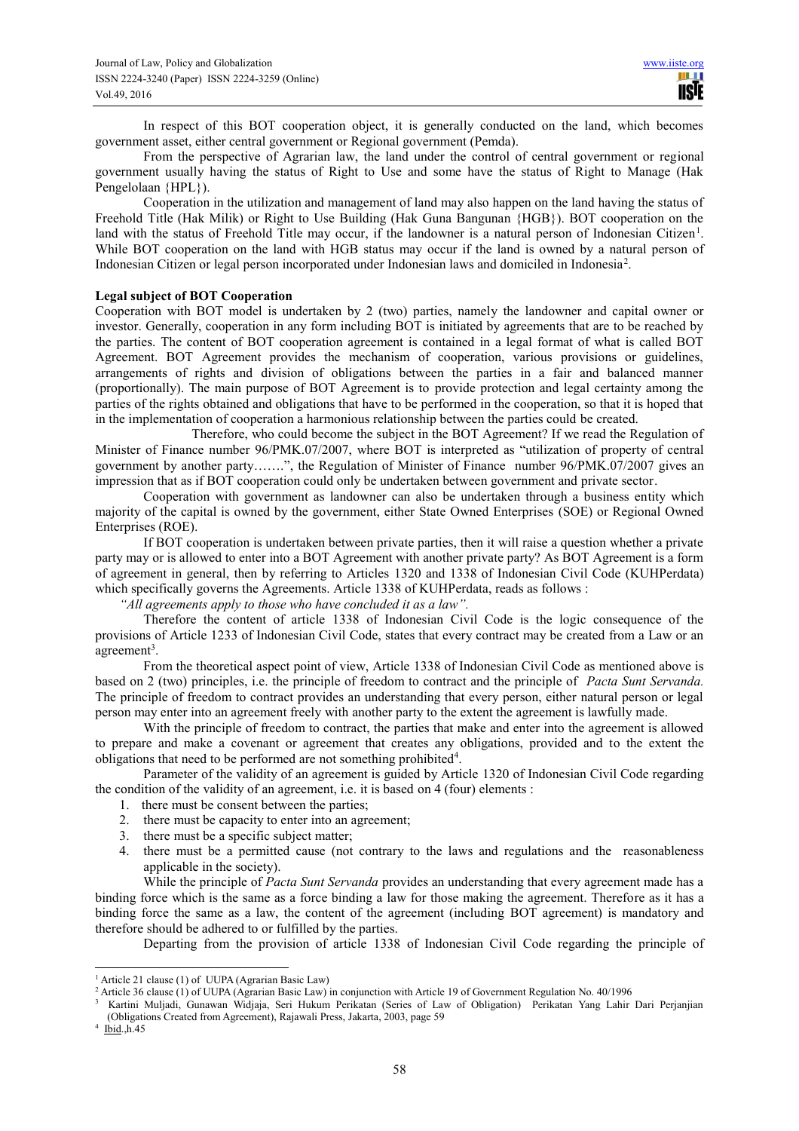In respect of this BOT cooperation object, it is generally conducted on the land, which becomes government asset, either central government or Regional government (Pemda).

From the perspective of Agrarian law, the land under the control of central government or regional government usually having the status of Right to Use and some have the status of Right to Manage (Hak Pengelolaan {HPL}).

Cooperation in the utilization and management of land may also happen on the land having the status of Freehold Title (Hak Milik) or Right to Use Building (Hak Guna Bangunan {HGB}). BOT cooperation on the land with the status of Freehold Title may occur, if the landowner is a natural person of Indonesian Citizen<sup>1</sup>. While BOT cooperation on the land with HGB status may occur if the land is owned by a natural person of Indonesian Citizen or legal person incorporated under Indonesian laws and domiciled in Indonesia<sup>2</sup>.

#### **Legal subject of BOT Cooperation**

Cooperation with BOT model is undertaken by 2 (two) parties, namely the landowner and capital owner or investor. Generally, cooperation in any form including BOT is initiated by agreements that are to be reached by the parties. The content of BOT cooperation agreement is contained in a legal format of what is called BOT Agreement. BOT Agreement provides the mechanism of cooperation, various provisions or guidelines, arrangements of rights and division of obligations between the parties in a fair and balanced manner (proportionally). The main purpose of BOT Agreement is to provide protection and legal certainty among the parties of the rights obtained and obligations that have to be performed in the cooperation, so that it is hoped that in the implementation of cooperation a harmonious relationship between the parties could be created.

 Therefore, who could become the subject in the BOT Agreement? If we read the Regulation of Minister of Finance number 96/PMK.07/2007, where BOT is interpreted as "utilization of property of central government by another party…….", the Regulation of Minister of Finance number 96/PMK.07/2007 gives an impression that as if BOT cooperation could only be undertaken between government and private sector.

Cooperation with government as landowner can also be undertaken through a business entity which majority of the capital is owned by the government, either State Owned Enterprises (SOE) or Regional Owned Enterprises (ROE).

If BOT cooperation is undertaken between private parties, then it will raise a question whether a private party may or is allowed to enter into a BOT Agreement with another private party? As BOT Agreement is a form of agreement in general, then by referring to Articles 1320 and 1338 of Indonesian Civil Code (KUHPerdata) which specifically governs the Agreements. Article 1338 of KUHPerdata, reads as follows :

*"All agreements apply to those who have concluded it as a law".* 

Therefore the content of article 1338 of Indonesian Civil Code is the logic consequence of the provisions of Article 1233 of Indonesian Civil Code, states that every contract may be created from a Law or an agreement<sup>3</sup>.

From the theoretical aspect point of view, Article 1338 of Indonesian Civil Code as mentioned above is based on 2 (two) principles, i.e. the principle of freedom to contract and the principle of *Pacta Sunt Servanda.* The principle of freedom to contract provides an understanding that every person, either natural person or legal person may enter into an agreement freely with another party to the extent the agreement is lawfully made.

With the principle of freedom to contract, the parties that make and enter into the agreement is allowed to prepare and make a covenant or agreement that creates any obligations, provided and to the extent the obligations that need to be performed are not something prohibited<sup>4</sup>.

Parameter of the validity of an agreement is guided by Article 1320 of Indonesian Civil Code regarding the condition of the validity of an agreement, i.e. it is based on 4 (four) elements :

- 1. there must be consent between the parties;
- 2. there must be capacity to enter into an agreement;
- 3. there must be a specific subject matter;
- 4. there must be a permitted cause (not contrary to the laws and regulations and the reasonableness applicable in the society).

While the principle of *Pacta Sunt Servanda* provides an understanding that every agreement made has a binding force which is the same as a force binding a law for those making the agreement. Therefore as it has a binding force the same as a law, the content of the agreement (including BOT agreement) is mandatory and therefore should be adhered to or fulfilled by the parties.

Departing from the provision of article 1338 of Indonesian Civil Code regarding the principle of

3 Kartini Muljadi, Gunawan Widjaja, Seri Hukum Perikatan (Series of Law of Obligation) Perikatan Yang Lahir Dari Perjanjian (Obligations Created from Agreement), Rajawali Press, Jakarta, 2003, page 59

 $\overline{a}$ <sup>1</sup> Article 21 clause (1) of UUPA (Agrarian Basic Law)

<sup>&</sup>lt;sup>2</sup> Article 36 clause (1) of UUPA (Agrarian Basic Law) in conjunction with Article 19 of Government Regulation No. 40/1996

 $4$  Ibid., h. 45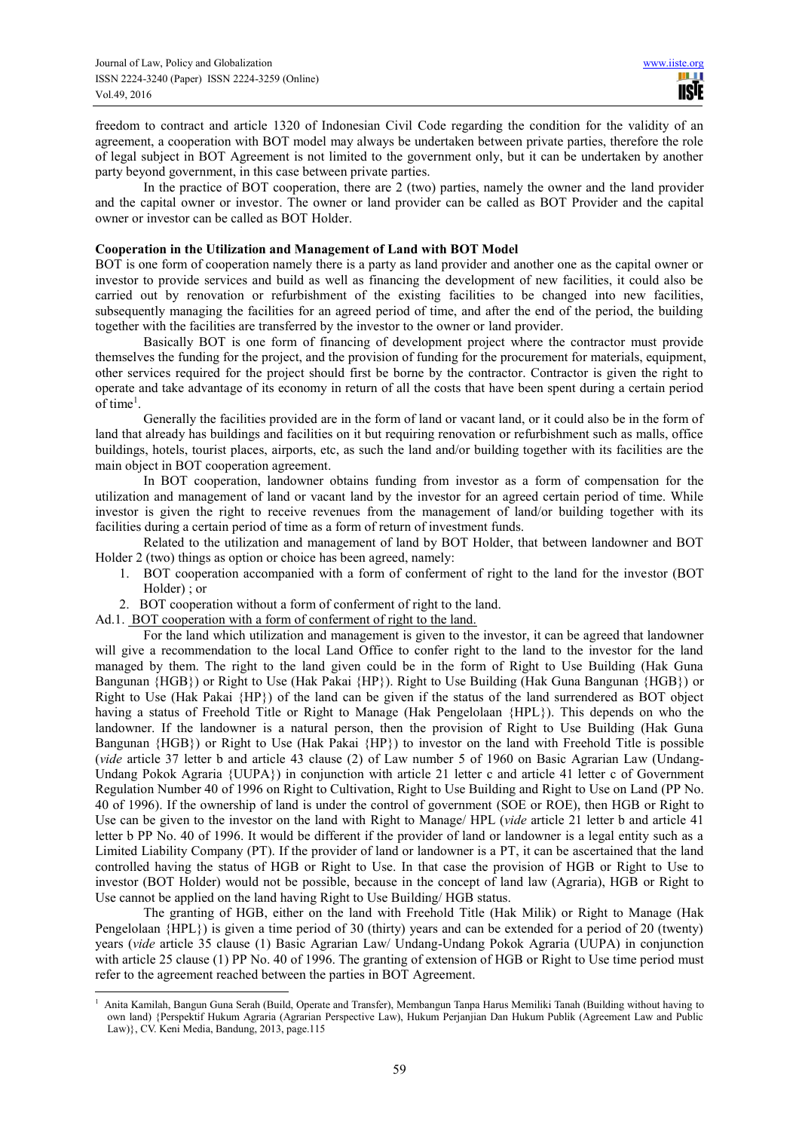freedom to contract and article 1320 of Indonesian Civil Code regarding the condition for the validity of an agreement, a cooperation with BOT model may always be undertaken between private parties, therefore the role of legal subject in BOT Agreement is not limited to the government only, but it can be undertaken by another party beyond government, in this case between private parties.

In the practice of BOT cooperation, there are 2 (two) parties, namely the owner and the land provider and the capital owner or investor. The owner or land provider can be called as BOT Provider and the capital owner or investor can be called as BOT Holder.

#### **Cooperation in the Utilization and Management of Land with BOT Model**

BOT is one form of cooperation namely there is a party as land provider and another one as the capital owner or investor to provide services and build as well as financing the development of new facilities, it could also be carried out by renovation or refurbishment of the existing facilities to be changed into new facilities, subsequently managing the facilities for an agreed period of time, and after the end of the period, the building together with the facilities are transferred by the investor to the owner or land provider.

Basically BOT is one form of financing of development project where the contractor must provide themselves the funding for the project, and the provision of funding for the procurement for materials, equipment, other services required for the project should first be borne by the contractor. Contractor is given the right to operate and take advantage of its economy in return of all the costs that have been spent during a certain period of time<sup>1</sup>.

Generally the facilities provided are in the form of land or vacant land, or it could also be in the form of land that already has buildings and facilities on it but requiring renovation or refurbishment such as malls, office buildings, hotels, tourist places, airports, etc, as such the land and/or building together with its facilities are the main object in BOT cooperation agreement.

In BOT cooperation, landowner obtains funding from investor as a form of compensation for the utilization and management of land or vacant land by the investor for an agreed certain period of time. While investor is given the right to receive revenues from the management of land/or building together with its facilities during a certain period of time as a form of return of investment funds.

Related to the utilization and management of land by BOT Holder, that between landowner and BOT Holder 2 (two) things as option or choice has been agreed, namely:

- 1. BOT cooperation accompanied with a form of conferment of right to the land for the investor (BOT Holder) ; or
- 2. BOT cooperation without a form of conferment of right to the land.

Ad.1. BOT cooperation with a form of conferment of right to the land.

For the land which utilization and management is given to the investor, it can be agreed that landowner will give a recommendation to the local Land Office to confer right to the land to the investor for the land managed by them. The right to the land given could be in the form of Right to Use Building (Hak Guna Bangunan {HGB}) or Right to Use (Hak Pakai {HP}). Right to Use Building (Hak Guna Bangunan {HGB}) or Right to Use (Hak Pakai {HP}) of the land can be given if the status of the land surrendered as BOT object having a status of Freehold Title or Right to Manage (Hak Pengelolaan {HPL}). This depends on who the landowner. If the landowner is a natural person, then the provision of Right to Use Building (Hak Guna Bangunan {HGB}) or Right to Use (Hak Pakai {HP}) to investor on the land with Freehold Title is possible (*vide* article 37 letter b and article 43 clause (2) of Law number 5 of 1960 on Basic Agrarian Law (Undang-Undang Pokok Agraria {UUPA}) in conjunction with article 21 letter c and article 41 letter c of Government Regulation Number 40 of 1996 on Right to Cultivation, Right to Use Building and Right to Use on Land (PP No. 40 of 1996). If the ownership of land is under the control of government (SOE or ROE), then HGB or Right to Use can be given to the investor on the land with Right to Manage/ HPL (*vide* article 21 letter b and article 41 letter b PP No. 40 of 1996. It would be different if the provider of land or landowner is a legal entity such as a Limited Liability Company (PT). If the provider of land or landowner is a PT, it can be ascertained that the land controlled having the status of HGB or Right to Use. In that case the provision of HGB or Right to Use to investor (BOT Holder) would not be possible, because in the concept of land law (Agraria), HGB or Right to Use cannot be applied on the land having Right to Use Building/ HGB status.

The granting of HGB, either on the land with Freehold Title (Hak Milik) or Right to Manage (Hak Pengelolaan {HPL}) is given a time period of 30 (thirty) years and can be extended for a period of 20 (twenty) years (*vide* article 35 clause (1) Basic Agrarian Law/ Undang-Undang Pokok Agraria (UUPA) in conjunction with article 25 clause (1) PP No. 40 of 1996. The granting of extension of HGB or Right to Use time period must refer to the agreement reached between the parties in BOT Agreement.

 $\overline{a}$ 1 Anita Kamilah, Bangun Guna Serah (Build, Operate and Transfer), Membangun Tanpa Harus Memiliki Tanah (Building without having to own land) {Perspektif Hukum Agraria (Agrarian Perspective Law), Hukum Perjanjian Dan Hukum Publik (Agreement Law and Public Law)}, CV. Keni Media, Bandung, 2013, page.115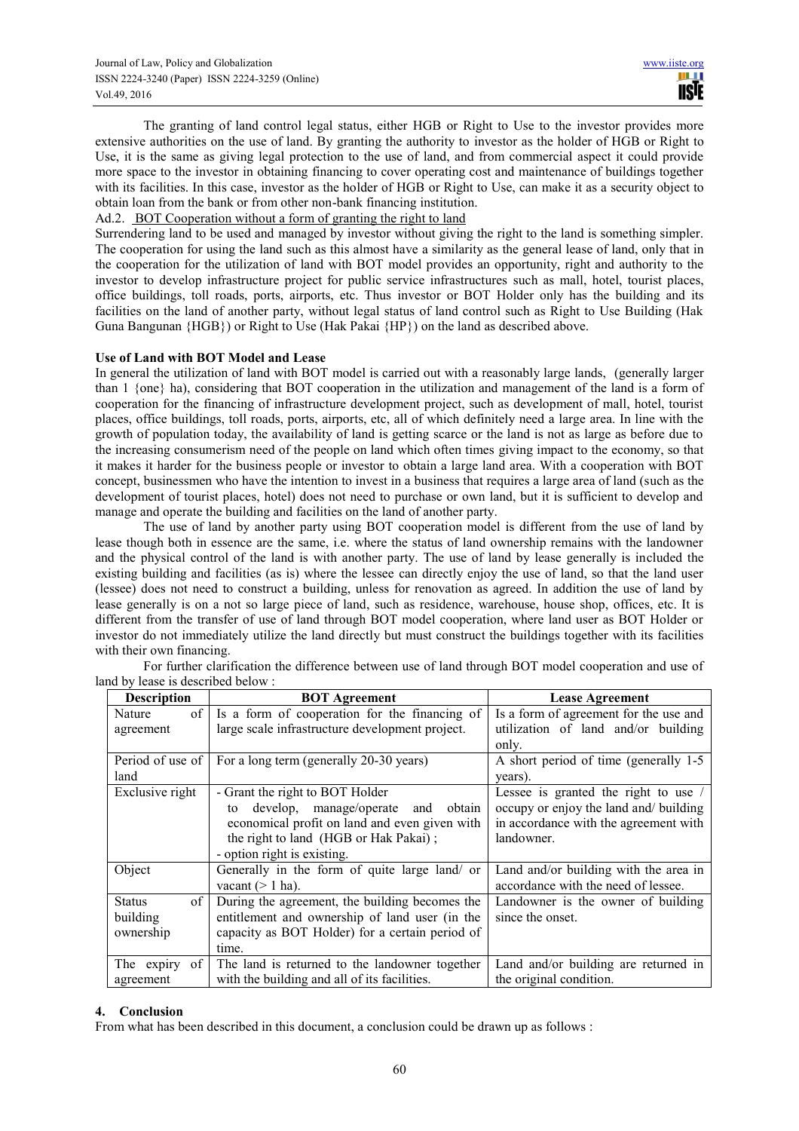The granting of land control legal status, either HGB or Right to Use to the investor provides more extensive authorities on the use of land. By granting the authority to investor as the holder of HGB or Right to Use, it is the same as giving legal protection to the use of land, and from commercial aspect it could provide more space to the investor in obtaining financing to cover operating cost and maintenance of buildings together with its facilities. In this case, investor as the holder of HGB or Right to Use, can make it as a security object to obtain loan from the bank or from other non-bank financing institution.

Ad.2. BOT Cooperation without a form of granting the right to land

Surrendering land to be used and managed by investor without giving the right to the land is something simpler. The cooperation for using the land such as this almost have a similarity as the general lease of land, only that in the cooperation for the utilization of land with BOT model provides an opportunity, right and authority to the investor to develop infrastructure project for public service infrastructures such as mall, hotel, tourist places, office buildings, toll roads, ports, airports, etc. Thus investor or BOT Holder only has the building and its facilities on the land of another party, without legal status of land control such as Right to Use Building (Hak Guna Bangunan {HGB}) or Right to Use (Hak Pakai {HP}) on the land as described above.

#### **Use of Land with BOT Model and Lease**

In general the utilization of land with BOT model is carried out with a reasonably large lands, (generally larger than 1 {one} ha), considering that BOT cooperation in the utilization and management of the land is a form of cooperation for the financing of infrastructure development project, such as development of mall, hotel, tourist places, office buildings, toll roads, ports, airports, etc, all of which definitely need a large area. In line with the growth of population today, the availability of land is getting scarce or the land is not as large as before due to the increasing consumerism need of the people on land which often times giving impact to the economy, so that it makes it harder for the business people or investor to obtain a large land area. With a cooperation with BOT concept, businessmen who have the intention to invest in a business that requires a large area of land (such as the development of tourist places, hotel) does not need to purchase or own land, but it is sufficient to develop and manage and operate the building and facilities on the land of another party.

The use of land by another party using BOT cooperation model is different from the use of land by lease though both in essence are the same, i.e. where the status of land ownership remains with the landowner and the physical control of the land is with another party. The use of land by lease generally is included the existing building and facilities (as is) where the lessee can directly enjoy the use of land, so that the land user (lessee) does not need to construct a building, unless for renovation as agreed. In addition the use of land by lease generally is on a not so large piece of land, such as residence, warehouse, house shop, offices, etc. It is different from the transfer of use of land through BOT model cooperation, where land user as BOT Holder or investor do not immediately utilize the land directly but must construct the buildings together with its facilities with their own financing.

| <b>Description</b>    | <b>BOT</b> Agreement                             | <b>Lease Agreement</b>                 |
|-----------------------|--------------------------------------------------|----------------------------------------|
| Nature                | of Is a form of cooperation for the financing of | Is a form of agreement for the use and |
| agreement             | large scale infrastructure development project.  | utilization of land and/or building    |
|                       |                                                  | only.                                  |
| Period of use of      | For a long term (generally 20-30 years)          | A short period of time (generally 1-5) |
| land                  |                                                  | years).                                |
| Exclusive right       | - Grant the right to BOT Holder                  | Lessee is granted the right to use /   |
|                       | develop, manage/operate<br>obtain<br>and<br>to   | occupy or enjoy the land and/ building |
|                       | economical profit on land and even given with    | in accordance with the agreement with  |
|                       | the right to land (HGB or Hak Pakai);            | landowner.                             |
|                       | - option right is existing.                      |                                        |
| Object                | Generally in the form of quite large land/ or    | Land and/or building with the area in  |
|                       | vacant $(> 1$ ha).                               | accordance with the need of lessee.    |
| of 1<br><b>Status</b> | During the agreement, the building becomes the   | Landowner is the owner of building     |
| building              | entitlement and ownership of land user (in the   | since the onset.                       |
| ownership             | capacity as BOT Holder) for a certain period of  |                                        |
|                       | time.                                            |                                        |
| The expiry of         | The land is returned to the landowner together   | Land and/or building are returned in   |
| agreement             | with the building and all of its facilities.     | the original condition.                |

For further clarification the difference between use of land through BOT model cooperation and use of land by lease is described below :

#### **4. Conclusion**

From what has been described in this document, a conclusion could be drawn up as follows :